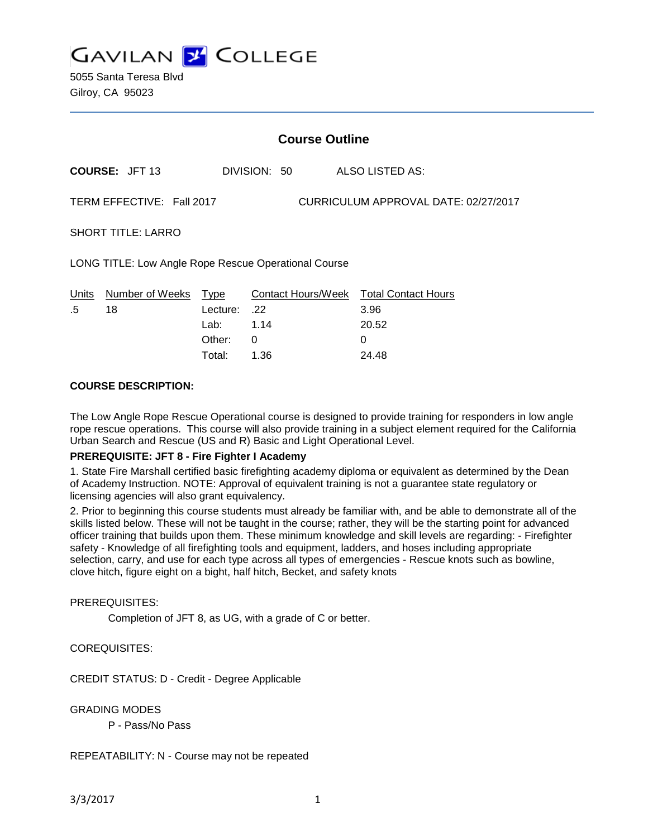

5055 Santa Teresa Blvd Gilroy, CA 95023

|                                                                   | <b>Course Outline</b> |          |              |  |                                        |  |
|-------------------------------------------------------------------|-----------------------|----------|--------------|--|----------------------------------------|--|
|                                                                   | <b>COURSE: JFT 13</b> |          | DIVISION: 50 |  | ALSO LISTED AS:                        |  |
| TERM EFFECTIVE: Fall 2017<br>CURRICULUM APPROVAL DATE: 02/27/2017 |                       |          |              |  |                                        |  |
| <b>SHORT TITLE: LARRO</b>                                         |                       |          |              |  |                                        |  |
| LONG TITLE: Low Angle Rope Rescue Operational Course              |                       |          |              |  |                                        |  |
| Units                                                             | Number of Weeks       | Type     |              |  | Contact Hours/Week Total Contact Hours |  |
| .5                                                                | 18                    | Lecture: | .22          |  | 3.96                                   |  |
|                                                                   |                       | Lab:     | 1.14         |  | 20.52                                  |  |
|                                                                   |                       | Other:   | 0            |  | $\Omega$                               |  |
|                                                                   |                       | Total:   | 1.36         |  | 24.48                                  |  |

#### **COURSE DESCRIPTION:**

The Low Angle Rope Rescue Operational course is designed to provide training for responders in low angle rope rescue operations. This course will also provide training in a subject element required for the California Urban Search and Rescue (US and R) Basic and Light Operational Level.

#### **PREREQUISITE: JFT 8 - Fire Fighter I Academy**

1. State Fire Marshall certified basic firefighting academy diploma or equivalent as determined by the Dean of Academy Instruction. NOTE: Approval of equivalent training is not a guarantee state regulatory or licensing agencies will also grant equivalency.

2. Prior to beginning this course students must already be familiar with, and be able to demonstrate all of the skills listed below. These will not be taught in the course; rather, they will be the starting point for advanced officer training that builds upon them. These minimum knowledge and skill levels are regarding: - Firefighter safety - Knowledge of all firefighting tools and equipment, ladders, and hoses including appropriate selection, carry, and use for each type across all types of emergencies - Rescue knots such as bowline, clove hitch, figure eight on a bight, half hitch, Becket, and safety knots

#### PREREQUISITES:

Completion of JFT 8, as UG, with a grade of C or better.

#### COREQUISITES:

CREDIT STATUS: D - Credit - Degree Applicable

GRADING MODES

P - Pass/No Pass

REPEATABILITY: N - Course may not be repeated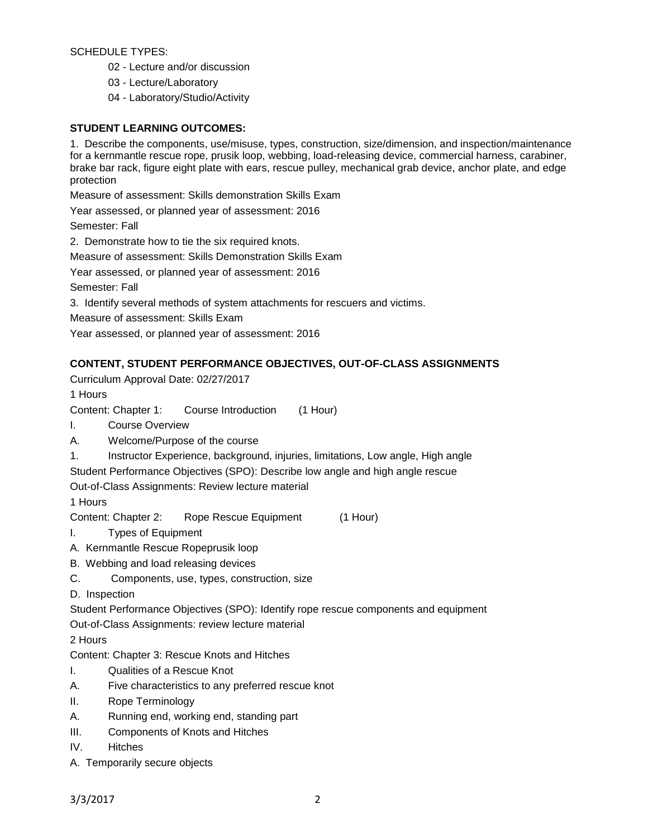### SCHEDULE TYPES:

- 02 Lecture and/or discussion
- 03 Lecture/Laboratory
- 04 Laboratory/Studio/Activity

## **STUDENT LEARNING OUTCOMES:**

1. Describe the components, use/misuse, types, construction, size/dimension, and inspection/maintenance for a kernmantle rescue rope, prusik loop, webbing, load-releasing device, commercial harness, carabiner, brake bar rack, figure eight plate with ears, rescue pulley, mechanical grab device, anchor plate, and edge protection

Measure of assessment: Skills demonstration Skills Exam

Year assessed, or planned year of assessment: 2016

Semester: Fall

2. Demonstrate how to tie the six required knots.

Measure of assessment: Skills Demonstration Skills Exam

Year assessed, or planned year of assessment: 2016

Semester: Fall

3. Identify several methods of system attachments for rescuers and victims.

Measure of assessment: Skills Exam

Year assessed, or planned year of assessment: 2016

# **CONTENT, STUDENT PERFORMANCE OBJECTIVES, OUT-OF-CLASS ASSIGNMENTS**

Curriculum Approval Date: 02/27/2017

1 Hours

Content: Chapter 1: Course Introduction (1 Hour)

I. Course Overview

A. Welcome/Purpose of the course

1. Instructor Experience, background, injuries, limitations, Low angle, High angle Student Performance Objectives (SPO): Describe low angle and high angle rescue

Out-of-Class Assignments: Review lecture material

1 Hours

Content: Chapter 2: Rope Rescue Equipment (1 Hour)

I. Types of Equipment

- A. Kernmantle Rescue Ropeprusik loop
- B. Webbing and load releasing devices
- C. Components, use, types, construction, size

D. Inspection

Student Performance Objectives (SPO): Identify rope rescue components and equipment

Out-of-Class Assignments: review lecture material

2 Hours

Content: Chapter 3: Rescue Knots and Hitches

- I. Qualities of a Rescue Knot
- A. Five characteristics to any preferred rescue knot
- II. Rope Terminology
- A. Running end, working end, standing part
- III. Components of Knots and Hitches
- IV. Hitches
- A. Temporarily secure objects

3/3/2017 2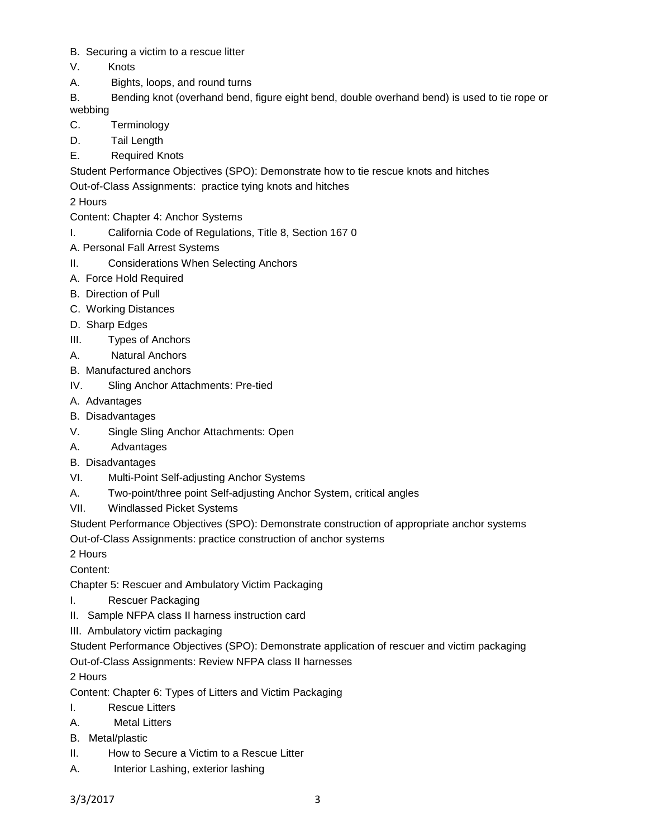- B. Securing a victim to a rescue litter
- V. Knots
- A. Bights, loops, and round turns
- B. Bending knot (overhand bend, figure eight bend, double overhand bend) is used to tie rope or webbing
- C. Terminology
- D. Tail Length
- E. Required Knots

Student Performance Objectives (SPO): Demonstrate how to tie rescue knots and hitches

Out-of-Class Assignments: practice tying knots and hitches

2 Hours

- Content: Chapter 4: Anchor Systems
- I. California Code of Regulations, Title 8, Section 167 0
- A. Personal Fall Arrest Systems
- II. Considerations When Selecting Anchors
- A. Force Hold Required
- B. Direction of Pull
- C. Working Distances
- D. Sharp Edges
- III. Types of Anchors
- A. Natural Anchors
- B. Manufactured anchors
- IV. Sling Anchor Attachments: Pre-tied
- A. Advantages
- B. Disadvantages
- V. Single Sling Anchor Attachments: Open
- A. Advantages
- B. Disadvantages
- VI. Multi-Point Self-adjusting Anchor Systems
- A. Two-point/three point Self-adjusting Anchor System, critical angles
- VII. Windlassed Picket Systems

Student Performance Objectives (SPO): Demonstrate construction of appropriate anchor systems

Out-of-Class Assignments: practice construction of anchor systems

2 Hours

Content:

- Chapter 5: Rescuer and Ambulatory Victim Packaging
- I. Rescuer Packaging
- II. Sample NFPA class II harness instruction card
- III. Ambulatory victim packaging

Student Performance Objectives (SPO): Demonstrate application of rescuer and victim packaging

Out-of-Class Assignments: Review NFPA class II harnesses

2 Hours

- Content: Chapter 6: Types of Litters and Victim Packaging
- I. Rescue Litters
- A. Metal Litters
- B. Metal/plastic
- II. How to Secure a Victim to a Rescue Litter
- A. Interior Lashing, exterior lashing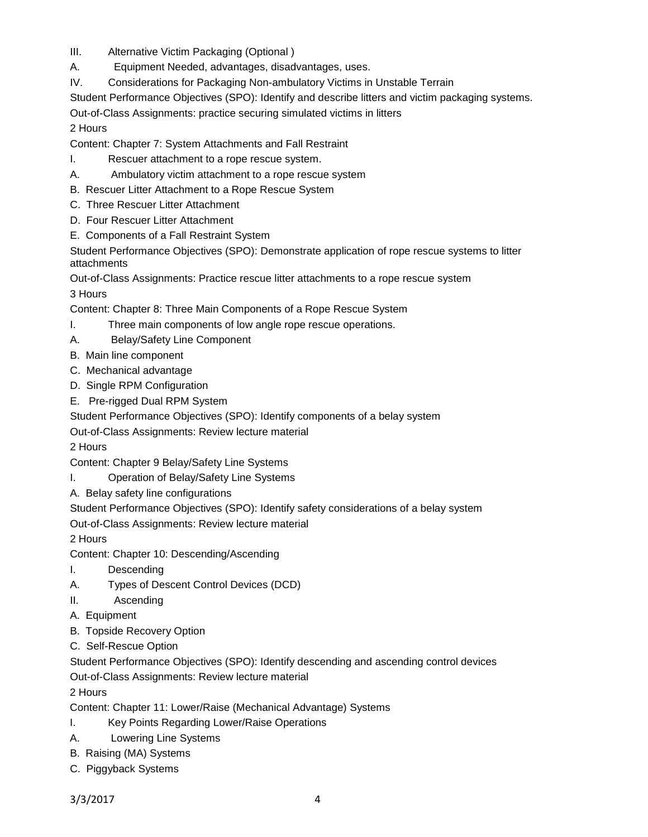- III. Alternative Victim Packaging (Optional )
- A. Equipment Needed, advantages, disadvantages, uses.
- IV. Considerations for Packaging Non-ambulatory Victims in Unstable Terrain
- Student Performance Objectives (SPO): Identify and describe litters and victim packaging systems.

Out-of-Class Assignments: practice securing simulated victims in litters

2 Hours

Content: Chapter 7: System Attachments and Fall Restraint

- I. Rescuer attachment to a rope rescue system.
- A. Ambulatory victim attachment to a rope rescue system
- B. Rescuer Litter Attachment to a Rope Rescue System
- C. Three Rescuer Litter Attachment
- D. Four Rescuer Litter Attachment
- E. Components of a Fall Restraint System

Student Performance Objectives (SPO): Demonstrate application of rope rescue systems to litter attachments

Out-of-Class Assignments: Practice rescue litter attachments to a rope rescue system 3 Hours

Content: Chapter 8: Three Main Components of a Rope Rescue System

- I. Three main components of low angle rope rescue operations.
- A. Belay/Safety Line Component
- B. Main line component
- C. Mechanical advantage
- D. Single RPM Configuration
- E. Pre-rigged Dual RPM System
- Student Performance Objectives (SPO): Identify components of a belay system

Out-of-Class Assignments: Review lecture material

2 Hours

Content: Chapter 9 Belay/Safety Line Systems

- I. Operation of Belay/Safety Line Systems
- A. Belay safety line configurations

Student Performance Objectives (SPO): Identify safety considerations of a belay system

Out-of-Class Assignments: Review lecture material

2 Hours

- Content: Chapter 10: Descending/Ascending
- I. Descending
- A. Types of Descent Control Devices (DCD)
- II. Ascending
- A. Equipment
- B. Topside Recovery Option
- C. Self-Rescue Option

Student Performance Objectives (SPO): Identify descending and ascending control devices

Out-of-Class Assignments: Review lecture material

2 Hours

Content: Chapter 11: Lower/Raise (Mechanical Advantage) Systems

- I. Key Points Regarding Lower/Raise Operations
- A. Lowering Line Systems
- B. Raising (MA) Systems
- C. Piggyback Systems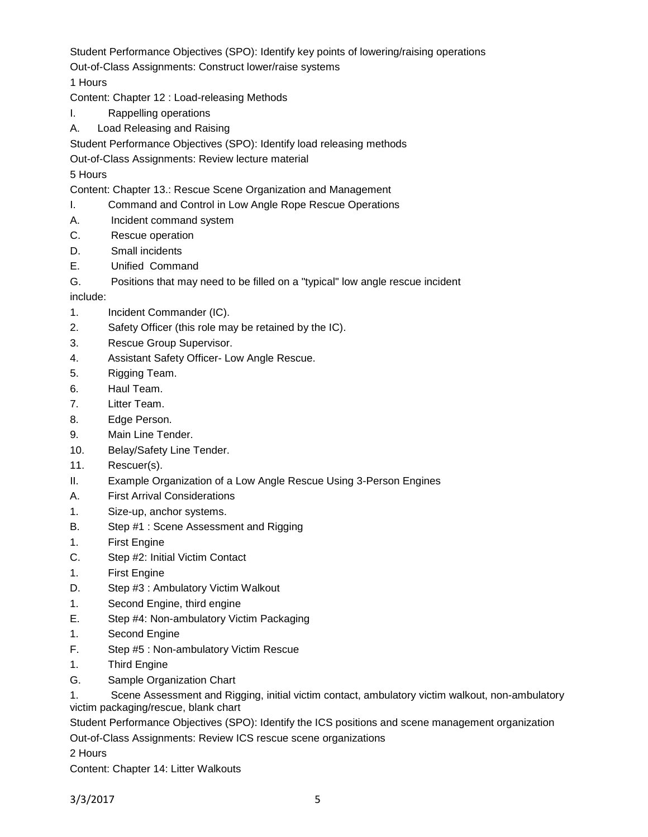Student Performance Objectives (SPO): Identify key points of lowering/raising operations

Out-of-Class Assignments: Construct lower/raise systems

1 Hours

Content: Chapter 12 : Load-releasing Methods

- I. Rappelling operations
- A. Load Releasing and Raising

Student Performance Objectives (SPO): Identify load releasing methods

Out-of-Class Assignments: Review lecture material

# 5 Hours

Content: Chapter 13.: Rescue Scene Organization and Management

- I. Command and Control in Low Angle Rope Rescue Operations
- A. Incident command system
- C. Rescue operation
- D. Small incidents
- E. Unified Command
- G. Positions that may need to be filled on a "typical" low angle rescue incident

include:

- 1. Incident Commander (IC).
- 2. Safety Officer (this role may be retained by the IC).
- 3. Rescue Group Supervisor.
- 4. Assistant Safety Officer- Low Angle Rescue.
- 5. Rigging Team.
- 6. Haul Team.
- 7. Litter Team.
- 8. Edge Person.
- 9. Main Line Tender.
- 10. Belay/Safety Line Tender.
- 11. Rescuer(s).
- II. Example Organization of a Low Angle Rescue Using 3-Person Engines
- A. First Arrival Considerations
- 1. Size-up, anchor systems.
- B. Step #1 : Scene Assessment and Rigging
- 1. First Engine
- C. Step #2: Initial Victim Contact
- 1. First Engine
- D. Step #3 : Ambulatory Victim Walkout
- 1. Second Engine, third engine
- E. Step #4: Non-ambulatory Victim Packaging
- 1. Second Engine
- F. Step #5 : Non-ambulatory Victim Rescue
- 1. Third Engine
- G. Sample Organization Chart

1. Scene Assessment and Rigging, initial victim contact, ambulatory victim walkout, non-ambulatory victim packaging/rescue, blank chart

Student Performance Objectives (SPO): Identify the ICS positions and scene management organization

Out-of-Class Assignments: Review ICS rescue scene organizations

2 Hours

Content: Chapter 14: Litter Walkouts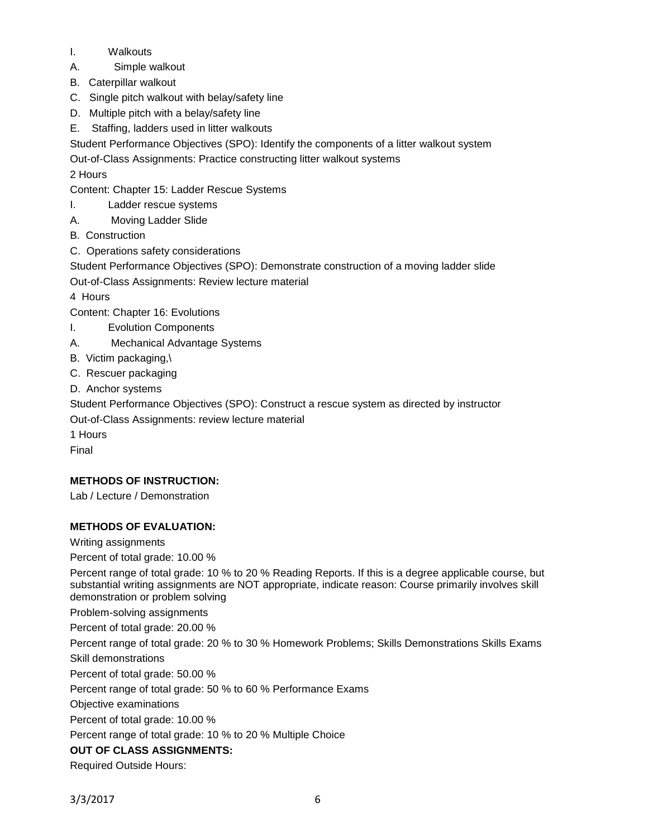- I. Walkouts
- A. Simple walkout
- B. Caterpillar walkout
- C. Single pitch walkout with belay/safety line
- D. Multiple pitch with a belay/safety line
- E. Staffing, ladders used in litter walkouts
- Student Performance Objectives (SPO): Identify the components of a litter walkout system
- Out-of-Class Assignments: Practice constructing litter walkout systems

## 2 Hours

- Content: Chapter 15: Ladder Rescue Systems
- I. Ladder rescue systems
- A. Moving Ladder Slide
- B. Construction
- C. Operations safety considerations
- Student Performance Objectives (SPO): Demonstrate construction of a moving ladder slide

Out-of-Class Assignments: Review lecture material

4 Hours

- Content: Chapter 16: Evolutions
- I. Evolution Components
- A. Mechanical Advantage Systems
- B. Victim packaging,\
- C. Rescuer packaging
- D. Anchor systems

Student Performance Objectives (SPO): Construct a rescue system as directed by instructor

Out-of-Class Assignments: review lecture material

1 Hours

Final

## **METHODS OF INSTRUCTION:**

Lab / Lecture / Demonstration

## **METHODS OF EVALUATION:**

Writing assignments

Percent of total grade: 10.00 %

Percent range of total grade: 10 % to 20 % Reading Reports. If this is a degree applicable course, but substantial writing assignments are NOT appropriate, indicate reason: Course primarily involves skill demonstration or problem solving

Problem-solving assignments

Percent of total grade: 20.00 %

Percent range of total grade: 20 % to 30 % Homework Problems; Skills Demonstrations Skills Exams Skill demonstrations

Percent of total grade: 50.00 %

Percent range of total grade: 50 % to 60 % Performance Exams

Objective examinations

Percent of total grade: 10.00 %

Percent range of total grade: 10 % to 20 % Multiple Choice

## **OUT OF CLASS ASSIGNMENTS:**

Required Outside Hours: